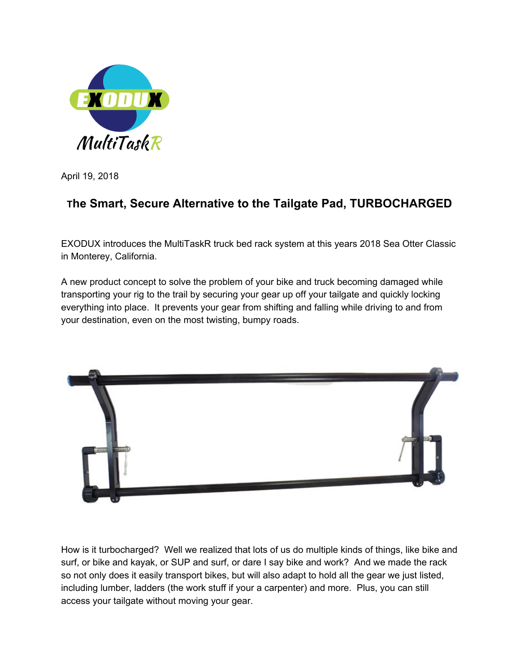

April 19, 2018

## **<sup>T</sup>he Smart, Secure Alternative to the Tailgate Pad, TURBOCHARGED**

EXODUX introduces the MultiTaskR truck bed rack system at this years 2018 Sea Otter Classic in Monterey, California.

A new product concept to solve the problem of your bike and truck becoming damaged while transporting your rig to the trail by securing your gear up off your tailgate and quickly locking everything into place. It prevents your gear from shifting and falling while driving to and from your destination, even on the most twisting, bumpy roads.



How is it turbocharged? Well we realized that lots of us do multiple kinds of things, like bike and surf, or bike and kayak, or SUP and surf, or dare I say bike and work? And we made the rack so not only does it easily transport bikes, but will also adapt to hold all the gear we just listed, including lumber, ladders (the work stuff if your a carpenter) and more. Plus, you can still access your tailgate without moving your gear.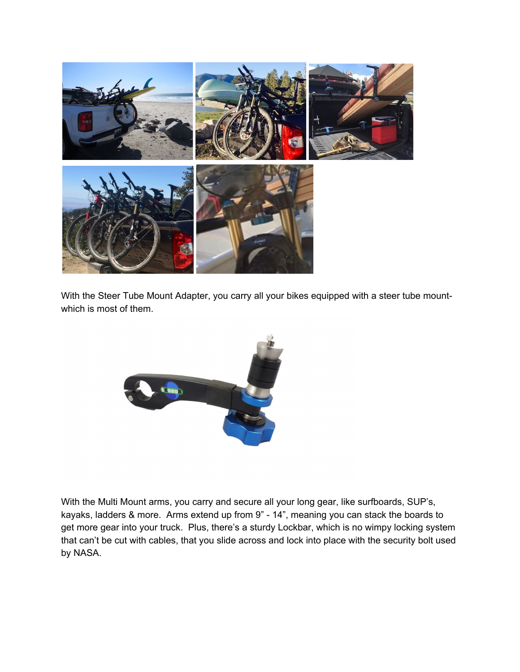

With the Steer Tube Mount Adapter, you carry all your bikes equipped with a steer tube mountwhich is most of them.



With the Multi Mount arms, you carry and secure all your long gear, like surfboards, SUP's, kayaks, ladders & more. Arms extend up from 9" - 14", meaning you can stack the boards to get more gear into your truck. Plus, there's a sturdy Lockbar, which is no wimpy locking system that can't be cut with cables, that you slide across and lock into place with the security bolt used by NASA.